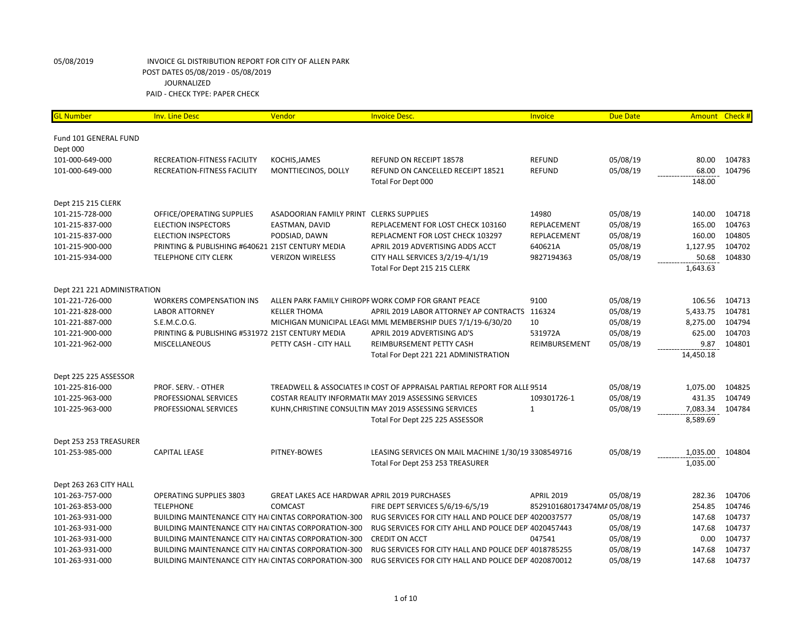| <b>GL Number</b>            | <b>Inv. Line Desc</b>                                       | Vendor                                              | <b>Invoice Desc.</b>                                                     | Invoice                    | <b>Due Date</b> | Amount Check # |        |
|-----------------------------|-------------------------------------------------------------|-----------------------------------------------------|--------------------------------------------------------------------------|----------------------------|-----------------|----------------|--------|
| Fund 101 GENERAL FUND       |                                                             |                                                     |                                                                          |                            |                 |                |        |
| Dept 000                    |                                                             |                                                     |                                                                          |                            |                 |                |        |
| 101-000-649-000             | RECREATION-FITNESS FACILITY                                 | KOCHIS, JAMES                                       | REFUND ON RECEIPT 18578                                                  | <b>REFUND</b>              | 05/08/19        | 80.00          | 104783 |
| 101-000-649-000             | RECREATION-FITNESS FACILITY                                 | MONTTIECINOS, DOLLY                                 | REFUND ON CANCELLED RECEIPT 18521                                        | <b>REFUND</b>              | 05/08/19        | 68.00          | 104796 |
|                             |                                                             |                                                     | Total For Dept 000                                                       |                            |                 | 148.00         |        |
| Dept 215 215 CLERK          |                                                             |                                                     |                                                                          |                            |                 |                |        |
| 101-215-728-000             | OFFICE/OPERATING SUPPLIES                                   | ASADOORIAN FAMILY PRINT CLERKS SUPPLIES             |                                                                          | 14980                      | 05/08/19        | 140.00         | 104718 |
| 101-215-837-000             | <b>ELECTION INSPECTORS</b>                                  | EASTMAN, DAVID                                      | REPLACEMENT FOR LOST CHECK 103160                                        | REPLACEMENT                | 05/08/19        | 165.00         | 104763 |
| 101-215-837-000             | <b>ELECTION INSPECTORS</b>                                  | PODSIAD, DAWN                                       | REPLACMENT FOR LOST CHECK 103297                                         | REPLACEMENT                | 05/08/19        | 160.00         | 104805 |
| 101-215-900-000             | PRINTING & PUBLISHING #640621 21ST CENTURY MEDIA            |                                                     | APRIL 2019 ADVERTISING ADDS ACCT                                         | 640621A                    | 05/08/19        | 1,127.95       | 104702 |
| 101-215-934-000             | <b>TELEPHONE CITY CLERK</b>                                 | <b>VERIZON WIRELESS</b>                             | CITY HALL SERVICES 3/2/19-4/1/19                                         | 9827194363                 | 05/08/19        | 50.68          | 104830 |
|                             |                                                             |                                                     | Total For Dept 215 215 CLERK                                             |                            |                 | 1,643.63       |        |
| Dept 221 221 ADMINISTRATION |                                                             |                                                     |                                                                          |                            |                 |                |        |
| 101-221-726-000             | <b>WORKERS COMPENSATION INS</b>                             |                                                     | ALLEN PARK FAMILY CHIROPF WORK COMP FOR GRANT PEACE                      | 9100                       | 05/08/19        | 106.56         | 104713 |
| 101-221-828-000             | <b>LABOR ATTORNEY</b>                                       | <b>KELLER THOMA</b>                                 | APRIL 2019 LABOR ATTORNEY AP CONTRACTS 116324                            |                            | 05/08/19        | 5,433.75       | 104781 |
| 101-221-887-000             | S.E.M.C.O.G.                                                |                                                     | MICHIGAN MUNICIPAL LEAGL MML MEMBERSHIP DUES 7/1/19-6/30/20              | 10                         | 05/08/19        | 8,275.00       | 104794 |
| 101-221-900-000             | PRINTING & PUBLISHING #531972 21ST CENTURY MEDIA            |                                                     | APRIL 2019 ADVERTISING AD'S                                              | 531972A                    | 05/08/19        | 625.00         | 104703 |
| 101-221-962-000             | <b>MISCELLANEOUS</b>                                        | PETTY CASH - CITY HALL                              | REIMBURSEMENT PETTY CASH                                                 | REIMBURSEMENT              | 05/08/19        | 9.87           | 104801 |
|                             |                                                             |                                                     | Total For Dept 221 221 ADMINISTRATION                                    |                            |                 | 14,450.18      |        |
| Dept 225 225 ASSESSOR       |                                                             |                                                     |                                                                          |                            |                 |                |        |
| 101-225-816-000             | PROF. SERV. - OTHER                                         |                                                     | TREADWELL & ASSOCIATES IN COST OF APPRAISAL PARTIAL REPORT FOR ALLE 9514 |                            | 05/08/19        | 1,075.00       | 104825 |
| 101-225-963-000             | PROFESSIONAL SERVICES                                       |                                                     | COSTAR REALITY INFORMATI( MAY 2019 ASSESSING SERVICES                    | 109301726-1                | 05/08/19        | 431.35         | 104749 |
| 101-225-963-000             | PROFESSIONAL SERVICES                                       |                                                     | KUHN, CHRISTINE CONSULTIN MAY 2019 ASSESSING SERVICES                    | $\mathbf{1}$               | 05/08/19        | 7,083.34       | 104784 |
|                             |                                                             |                                                     | Total For Dept 225 225 ASSESSOR                                          |                            |                 | 8,589.69       |        |
| Dept 253 253 TREASURER      |                                                             |                                                     |                                                                          |                            |                 |                |        |
| 101-253-985-000             | <b>CAPITAL LEASE</b>                                        | PITNEY-BOWES                                        | LEASING SERVICES ON MAIL MACHINE 1/30/19 3308549716                      |                            | 05/08/19        | 1,035.00       | 104804 |
|                             |                                                             |                                                     | Total For Dept 253 253 TREASURER                                         |                            |                 | 1,035.00       |        |
| Dept 263 263 CITY HALL      |                                                             |                                                     |                                                                          |                            |                 |                |        |
| 101-263-757-000             | <b>OPERATING SUPPLIES 3803</b>                              | <b>GREAT LAKES ACE HARDWAR APRIL 2019 PURCHASES</b> |                                                                          | <b>APRIL 2019</b>          | 05/08/19        | 282.36         | 104706 |
| 101-263-853-000             | <b>TELEPHONE</b>                                            | <b>COMCAST</b>                                      | FIRE DEPT SERVICES 5/6/19-6/5/19                                         | 8529101680173474MA05/08/19 |                 | 254.85         | 104746 |
| 101-263-931-000             | BUILDING MAINTENANCE CITY HAI CINTAS CORPORATION-300        |                                                     | RUG SERVICES FOR CITY HALL AND POLICE DEP 4020037577                     |                            | 05/08/19        | 147.68         | 104737 |
| 101-263-931-000             | <b>BUILDING MAINTENANCE CITY HAICINTAS CORPORATION-300</b>  |                                                     | RUG SERVICES FOR CITY AHLL AND POLICE DEP 4020457443                     |                            | 05/08/19        | 147.68         | 104737 |
| 101-263-931-000             | <b>BUILDING MAINTENANCE CITY HAI CINTAS CORPORATION-300</b> |                                                     | <b>CREDIT ON ACCT</b>                                                    | 047541                     | 05/08/19        | 0.00           | 104737 |
| 101-263-931-000             | <b>BUILDING MAINTENANCE CITY HAI CINTAS CORPORATION-300</b> |                                                     | RUG SERVICES FOR CITY HALL AND POLICE DEP 4018785255                     |                            | 05/08/19        | 147.68         | 104737 |
| 101-263-931-000             | BUILDING MAINTENANCE CITY HAI CINTAS CORPORATION-300        |                                                     | RUG SERVICES FOR CITY HALL AND POLICE DEP 4020870012                     |                            | 05/08/19        | 147.68         | 104737 |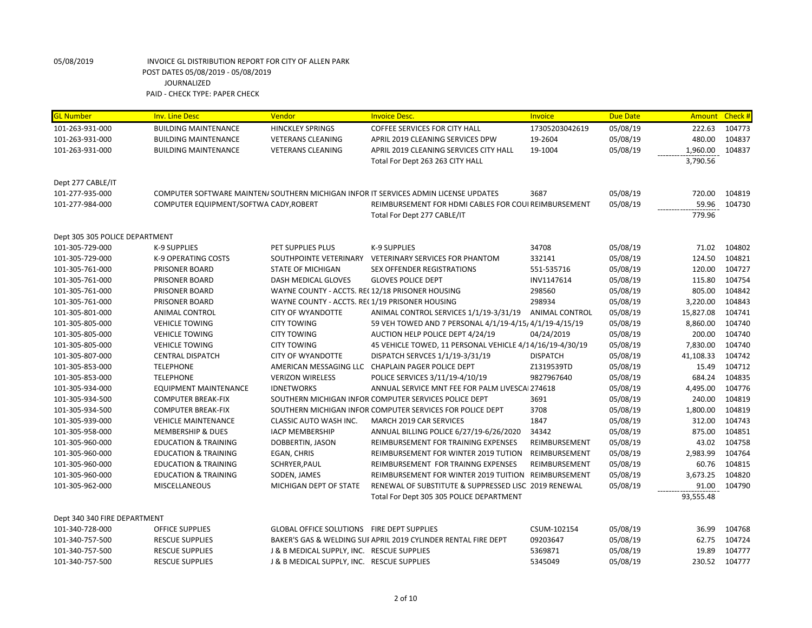| <b>GL Number</b>               | <b>Inv. Line Desc</b>                  | Vendor                                          | <b>Invoice Desc.</b>                                                                | Invoice               | <b>Due Date</b> | <b>Amount</b> | Check # |
|--------------------------------|----------------------------------------|-------------------------------------------------|-------------------------------------------------------------------------------------|-----------------------|-----------------|---------------|---------|
| 101-263-931-000                | <b>BUILDING MAINTENANCE</b>            | <b>HINCKLEY SPRINGS</b>                         | <b>COFFEE SERVICES FOR CITY HALL</b>                                                | 17305203042619        | 05/08/19        | 222.63        | 104773  |
| 101-263-931-000                | <b>BUILDING MAINTENANCE</b>            | <b>VETERANS CLEANING</b>                        | APRIL 2019 CLEANING SERVICES DPW                                                    | 19-2604               | 05/08/19        | 480.00        | 104837  |
| 101-263-931-000                | <b>BUILDING MAINTENANCE</b>            | <b>VETERANS CLEANING</b>                        | APRIL 2019 CLEANING SERVICES CITY HALL                                              | 19-1004               | 05/08/19        | 1,960.00      | 104837  |
|                                |                                        |                                                 | Total For Dept 263 263 CITY HALL                                                    |                       |                 | 3,790.56      |         |
|                                |                                        |                                                 |                                                                                     |                       |                 |               |         |
| Dept 277 CABLE/IT              |                                        |                                                 |                                                                                     |                       |                 |               |         |
| 101-277-935-000                |                                        |                                                 | COMPUTER SOFTWARE MAINTEN/SOUTHERN MICHIGAN INFOR IT SERVICES ADMIN LICENSE UPDATES | 3687                  | 05/08/19        | 720.00        | 104819  |
| 101-277-984-000                | COMPUTER EQUIPMENT/SOFTWA CADY, ROBERT |                                                 | REIMBURSEMENT FOR HDMI CABLES FOR COUI REIMBURSEMENT                                |                       | 05/08/19        | 59.96         | 104730  |
|                                |                                        |                                                 | Total For Dept 277 CABLE/IT                                                         |                       |                 | 779.96        |         |
| Dept 305 305 POLICE DEPARTMENT |                                        |                                                 |                                                                                     |                       |                 |               |         |
| 101-305-729-000                | <b>K-9 SUPPLIES</b>                    | PET SUPPLIES PLUS                               | <b>K-9 SUPPLIES</b>                                                                 | 34708                 | 05/08/19        | 71.02         | 104802  |
| 101-305-729-000                | <b>K-9 OPERATING COSTS</b>             | SOUTHPOINTE VETERINARY                          | <b>VETERINARY SERVICES FOR PHANTOM</b>                                              | 332141                | 05/08/19        | 124.50        | 104821  |
| 101-305-761-000                | PRISONER BOARD                         | <b>STATE OF MICHIGAN</b>                        | <b>SEX OFFENDER REGISTRATIONS</b>                                                   | 551-535716            | 05/08/19        | 120.00        | 104727  |
| 101-305-761-000                | PRISONER BOARD                         | DASH MEDICAL GLOVES                             | <b>GLOVES POLICE DEPT</b>                                                           | INV1147614            | 05/08/19        | 115.80        | 104754  |
| 101-305-761-000                | PRISONER BOARD                         | WAYNE COUNTY - ACCTS. REC12/18 PRISONER HOUSING |                                                                                     | 298560                | 05/08/19        | 805.00        | 104842  |
| 101-305-761-000                | PRISONER BOARD                         | WAYNE COUNTY - ACCTS. REC1/19 PRISONER HOUSING  |                                                                                     | 298934                | 05/08/19        | 3,220.00      | 104843  |
| 101-305-801-000                | ANIMAL CONTROL                         | <b>CITY OF WYANDOTTE</b>                        | ANIMAL CONTROL SERVICES 1/1/19-3/31/19                                              | <b>ANIMAL CONTROL</b> | 05/08/19        | 15,827.08     | 104741  |
| 101-305-805-000                | <b>VEHICLE TOWING</b>                  | <b>CITY TOWING</b>                              | 59 VEH TOWED AND 7 PERSONAL 4/1/19-4/15/4/1/19-4/15/19                              |                       | 05/08/19        | 8,860.00      | 104740  |
| 101-305-805-000                | <b>VEHICLE TOWING</b>                  | <b>CITY TOWING</b>                              | AUCTION HELP POLICE DEPT 4/24/19                                                    | 04/24/2019            | 05/08/19        | 200.00        | 104740  |
| 101-305-805-000                | <b>VEHICLE TOWING</b>                  | <b>CITY TOWING</b>                              | 45 VEHICLE TOWED, 11 PERSONAL VEHICLE 4/14/16/19-4/30/19                            |                       | 05/08/19        | 7,830.00      | 104740  |
| 101-305-807-000                | <b>CENTRAL DISPATCH</b>                | <b>CITY OF WYANDOTTE</b>                        | DISPATCH SERVCES 1/1/19-3/31/19                                                     | <b>DISPATCH</b>       | 05/08/19        | 41,108.33     | 104742  |
| 101-305-853-000                | <b>TELEPHONE</b>                       |                                                 | AMERICAN MESSAGING LLC CHAPLAIN PAGER POLICE DEPT                                   | Z1319539TD            | 05/08/19        | 15.49         | 104712  |
| 101-305-853-000                | <b>TELEPHONE</b>                       | <b>VERIZON WIRELESS</b>                         | POLICE SERVICES 3/11/19-4/10/19                                                     | 9827967640            | 05/08/19        | 684.24        | 104835  |
| 101-305-934-000                | <b>EQUIPMENT MAINTENANCE</b>           | <b>IDNETWORKS</b>                               | ANNUAL SERVICE MNT FEE FOR PALM LIVESCAI 274618                                     |                       | 05/08/19        | 4,495.00      | 104776  |
| 101-305-934-500                | <b>COMPUTER BREAK-FIX</b>              |                                                 | SOUTHERN MICHIGAN INFOR COMPUTER SERVICES POLICE DEPT                               | 3691                  | 05/08/19        | 240.00        | 104819  |
| 101-305-934-500                | <b>COMPUTER BREAK-FIX</b>              |                                                 | SOUTHERN MICHIGAN INFOR COMPUTER SERVICES FOR POLICE DEPT                           | 3708                  | 05/08/19        | 1,800.00      | 104819  |
| 101-305-939-000                | <b>VEHICLE MAINTENANCE</b>             | <b>CLASSIC AUTO WASH INC.</b>                   | MARCH 2019 CAR SERVICES                                                             | 1847                  | 05/08/19        | 312.00        | 104743  |
| 101-305-958-000                | <b>MEMBERSHIP &amp; DUES</b>           | <b>IACP MEMBERSHIP</b>                          | ANNUAL BILLING POLICE 6/27/19-6/26/2020                                             | 34342                 | 05/08/19        | 875.00        | 104851  |
| 101-305-960-000                | <b>EDUCATION &amp; TRAINING</b>        | DOBBERTIN, JASON                                | REIMBURSEMENT FOR TRAINING EXPENSES                                                 | REIMBURSEMENT         | 05/08/19        | 43.02         | 104758  |
| 101-305-960-000                | <b>EDUCATION &amp; TRAINING</b>        | EGAN, CHRIS                                     | REIMBURSEMENT FOR WINTER 2019 TUTION                                                | REIMBURSEMENT         | 05/08/19        | 2,983.99      | 104764  |
| 101-305-960-000                | <b>EDUCATION &amp; TRAINING</b>        | SCHRYER, PAUL                                   | REIMBURSEMENT FOR TRAINNG EXPENSES                                                  | REIMBURSEMENT         | 05/08/19        | 60.76         | 104815  |
| 101-305-960-000                | <b>EDUCATION &amp; TRAINING</b>        | SODEN, JAMES                                    | REIMBURSEMENT FOR WINTER 2019 TUITION                                               | REIMBURSEMENT         | 05/08/19        | 3,673.25      | 104820  |
| 101-305-962-000                | <b>MISCELLANEOUS</b>                   | MICHIGAN DEPT OF STATE                          | RENEWAL OF SUBSTITUTE & SUPPRESSED LISC 2019 RENEWAL                                |                       | 05/08/19        | 91.00         | 104790  |
|                                |                                        |                                                 | Total For Dept 305 305 POLICE DEPARTMENT                                            |                       |                 | 93,555.48     |         |
| Dept 340 340 FIRE DEPARTMENT   |                                        |                                                 |                                                                                     |                       |                 |               |         |
| 101-340-728-000                | <b>OFFICE SUPPLIES</b>                 | GLOBAL OFFICE SOLUTIONS FIRE DEPT SUPPLIES      |                                                                                     | CSUM-102154           | 05/08/19        | 36.99         | 104768  |
| 101-340-757-500                | <b>RESCUE SUPPLIES</b>                 |                                                 | BAKER'S GAS & WELDING SUI APRIL 2019 CYLINDER RENTAL FIRE DEPT                      | 09203647              | 05/08/19        | 62.75         | 104724  |
| 101-340-757-500                | <b>RESCUE SUPPLIES</b>                 | J & B MEDICAL SUPPLY, INC. RESCUE SUPPLIES      |                                                                                     | 5369871               | 05/08/19        | 19.89         | 104777  |
| 101-340-757-500                | <b>RESCUE SUPPLIES</b>                 | J & B MEDICAL SUPPLY, INC. RESCUE SUPPLIES      |                                                                                     | 5345049               | 05/08/19        | 230.52        | 104777  |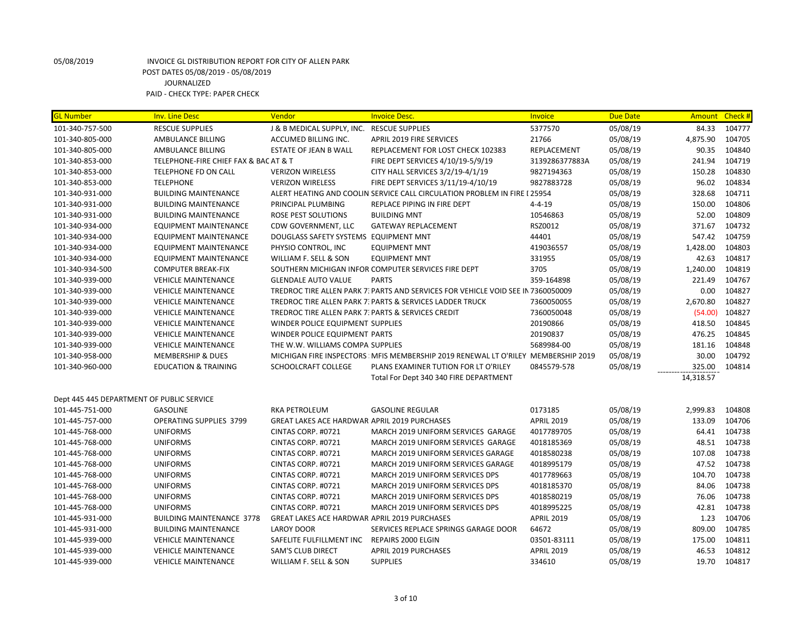| <b>GL Number</b>                          | <b>Inv. Line Desc</b>                 | Vendor                                              | <b>Invoice Desc.</b>                                                              | <b>Invoice</b>    | <b>Due Date</b> | <b>Amount</b> | <b>Check #</b> |
|-------------------------------------------|---------------------------------------|-----------------------------------------------------|-----------------------------------------------------------------------------------|-------------------|-----------------|---------------|----------------|
| 101-340-757-500                           | <b>RESCUE SUPPLIES</b>                | J & B MEDICAL SUPPLY, INC. RESCUE SUPPLIES          |                                                                                   | 5377570           | 05/08/19        | 84.33         | 104777         |
| 101-340-805-000                           | AMBULANCE BILLING                     | ACCUMED BILLING INC.                                | <b>APRIL 2019 FIRE SERVICES</b>                                                   | 21766             | 05/08/19        | 4,875.90      | 104705         |
| 101-340-805-000                           | AMBULANCE BILLING                     | <b>ESTATE OF JEAN B WALL</b>                        | REPLACEMENT FOR LOST CHECK 102383                                                 | REPLACEMENT       | 05/08/19        | 90.35         | 104840         |
| 101-340-853-000                           | TELEPHONE-FIRE CHIEF FAX & BAC AT & T |                                                     | FIRE DEPT SERVICES 4/10/19-5/9/19                                                 | 3139286377883A    | 05/08/19        | 241.94        | 104719         |
| 101-340-853-000                           | TELEPHONE FD ON CALL                  | <b>VERIZON WIRELESS</b>                             | CITY HALL SERVICES 3/2/19-4/1/19                                                  | 9827194363        | 05/08/19        | 150.28        | 104830         |
| 101-340-853-000                           | <b>TELEPHONE</b>                      | <b>VERIZON WIRELESS</b>                             | FIRE DEPT SERVICES 3/11/19-4/10/19                                                | 9827883728        | 05/08/19        | 96.02         | 104834         |
| 101-340-931-000                           | <b>BUILDING MAINTENANCE</b>           |                                                     | ALERT HEATING AND COOLIN SERVICE CALL CIRCULATION PROBLEM IN FIRE I 25954         |                   | 05/08/19        | 328.68        | 104711         |
| 101-340-931-000                           | <b>BUILDING MAINTENANCE</b>           | PRINCIPAL PLUMBING                                  | REPLACE PIPING IN FIRE DEPT                                                       | $4 - 4 - 19$      | 05/08/19        | 150.00        | 104806         |
| 101-340-931-000                           | <b>BUILDING MAINTENANCE</b>           | <b>ROSE PEST SOLUTIONS</b>                          | <b>BUILDING MNT</b>                                                               | 10546863          | 05/08/19        | 52.00         | 104809         |
| 101-340-934-000                           | EQUIPMENT MAINTENANCE                 | CDW GOVERNMENT, LLC                                 | <b>GATEWAY REPLACEMENT</b>                                                        | RSZ0012           | 05/08/19        | 371.67        | 104732         |
| 101-340-934-000                           | <b>EQUIPMENT MAINTENANCE</b>          | DOUGLASS SAFETY SYSTEMS EQUIPMENT MNT               |                                                                                   | 44401             | 05/08/19        | 547.42        | 104759         |
| 101-340-934-000                           | EQUIPMENT MAINTENANCE                 | PHYSIO CONTROL, INC                                 | <b>EQUIPMENT MNT</b>                                                              | 419036557         | 05/08/19        | 1,428.00      | 104803         |
| 101-340-934-000                           | <b>EQUIPMENT MAINTENANCE</b>          | WILLIAM F. SELL & SON                               | <b>EQUIPMENT MNT</b>                                                              | 331955            | 05/08/19        | 42.63         | 104817         |
| 101-340-934-500                           | <b>COMPUTER BREAK-FIX</b>             |                                                     | SOUTHERN MICHIGAN INFOR COMPUTER SERVICES FIRE DEPT                               | 3705              | 05/08/19        | 1,240.00      | 104819         |
| 101-340-939-000                           | <b>VEHICLE MAINTENANCE</b>            | <b>GLENDALE AUTO VALUE</b>                          | <b>PARTS</b>                                                                      | 359-164898        | 05/08/19        | 221.49        | 104767         |
| 101-340-939-000                           | <b>VEHICLE MAINTENANCE</b>            |                                                     | TREDROC TIRE ALLEN PARK 7: PARTS AND SERVICES FOR VEHICLE VOID SEE IN 7360050009  |                   | 05/08/19        | 0.00          | 104827         |
| 101-340-939-000                           | <b>VEHICLE MAINTENANCE</b>            |                                                     | TREDROC TIRE ALLEN PARK 7. PARTS & SERVICES LADDER TRUCK                          | 7360050055        | 05/08/19        | 2,670.80      | 104827         |
| 101-340-939-000                           | <b>VEHICLE MAINTENANCE</b>            | TREDROC TIRE ALLEN PARK 7: PARTS & SERVICES CREDIT  |                                                                                   | 7360050048        | 05/08/19        | (54.00)       | 104827         |
| 101-340-939-000                           | <b>VEHICLE MAINTENANCE</b>            | WINDER POLICE EQUIPMENT SUPPLIES                    |                                                                                   | 20190866          | 05/08/19        | 418.50        | 104845         |
| 101-340-939-000                           | <b>VEHICLE MAINTENANCE</b>            | WINDER POLICE EQUIPMENT PARTS                       |                                                                                   | 20190837          | 05/08/19        | 476.25        | 104845         |
| 101-340-939-000                           | <b>VEHICLE MAINTENANCE</b>            | THE W.W. WILLIAMS COMPA SUPPLIES                    |                                                                                   | 5689984-00        | 05/08/19        | 181.16        | 104848         |
| 101-340-958-000                           | <b>MEMBERSHIP &amp; DUES</b>          |                                                     | MICHIGAN FIRE INSPECTORS: MFIS MEMBERSHIP 2019 RENEWAL LT O'RILEY MEMBERSHIP 2019 |                   | 05/08/19        | 30.00         | 104792         |
| 101-340-960-000                           | <b>EDUCATION &amp; TRAINING</b>       | <b>SCHOOLCRAFT COLLEGE</b>                          | PLANS EXAMINER TUTION FOR LT O'RILEY                                              | 0845579-578       | 05/08/19        | 325.00        | 104814         |
|                                           |                                       |                                                     | Total For Dept 340 340 FIRE DEPARTMENT                                            |                   |                 | 14,318.57     |                |
| Dept 445 445 DEPARTMENT OF PUBLIC SERVICE |                                       |                                                     |                                                                                   |                   |                 |               |                |
| 101-445-751-000                           | <b>GASOLINE</b>                       | <b>RKA PETROLEUM</b>                                | <b>GASOLINE REGULAR</b>                                                           | 0173185           | 05/08/19        | 2,999.83      | 104808         |
| 101-445-757-000                           | <b>OPERATING SUPPLIES 3799</b>        | <b>GREAT LAKES ACE HARDWAR APRIL 2019 PURCHASES</b> |                                                                                   | <b>APRIL 2019</b> | 05/08/19        | 133.09        | 104706         |
| 101-445-768-000                           | <b>UNIFORMS</b>                       | CINTAS CORP. #0721                                  | MARCH 2019 UNIFORM SERVICES GARAGE                                                | 4017789705        | 05/08/19        | 64.41         | 104738         |
| 101-445-768-000                           | <b>UNIFORMS</b>                       | CINTAS CORP. #0721                                  | MARCH 2019 UNIFORM SERVICES GARAGE                                                | 4018185369        | 05/08/19        | 48.51         | 104738         |
| 101-445-768-000                           | <b>UNIFORMS</b>                       | CINTAS CORP. #0721                                  | MARCH 2019 UNIFORM SERVICES GARAGE                                                | 4018580238        | 05/08/19        | 107.08        | 104738         |
| 101-445-768-000                           | <b>UNIFORMS</b>                       | CINTAS CORP. #0721                                  | MARCH 2019 UNIFORM SERVICES GARAGE                                                | 4018995179        | 05/08/19        | 47.52         | 104738         |
| 101-445-768-000                           | <b>UNIFORMS</b>                       | CINTAS CORP. #0721                                  | MARCH 2019 UNIFORM SERVICES DPS                                                   | 4017789663        | 05/08/19        | 104.70        | 104738         |
| 101-445-768-000                           | <b>UNIFORMS</b>                       | CINTAS CORP. #0721                                  | MARCH 2019 UNIFORM SERVICES DPS                                                   | 4018185370        | 05/08/19        | 84.06         | 104738         |
| 101-445-768-000                           | <b>UNIFORMS</b>                       | CINTAS CORP. #0721                                  | MARCH 2019 UNIFORM SERVICES DPS                                                   | 4018580219        | 05/08/19        | 76.06         | 104738         |
| 101-445-768-000                           | <b>UNIFORMS</b>                       | CINTAS CORP. #0721                                  | MARCH 2019 UNIFORM SERVICES DPS                                                   | 4018995225        | 05/08/19        | 42.81         | 104738         |
| 101-445-931-000                           | <b>BUILDING MAINTENANCE 3778</b>      | <b>GREAT LAKES ACE HARDWAR APRIL 2019 PURCHASES</b> |                                                                                   | <b>APRIL 2019</b> | 05/08/19        | 1.23          | 104706         |
| 101-445-931-000                           | <b>BUILDING MAINTENANCE</b>           | <b>LAROY DOOR</b>                                   | SERVICES REPLACE SPRINGS GARAGE DOOR                                              | 64672             | 05/08/19        | 809.00        | 104785         |
| 101-445-939-000                           | <b>VEHICLE MAINTENANCE</b>            | SAFELITE FULFILLMENT INC                            | <b>REPAIRS 2000 ELGIN</b>                                                         | 03501-83111       | 05/08/19        | 175.00        | 104811         |
| 101-445-939-000                           | <b>VEHICLE MAINTENANCE</b>            | SAM'S CLUB DIRECT                                   | <b>APRIL 2019 PURCHASES</b>                                                       | <b>APRIL 2019</b> | 05/08/19        | 46.53         | 104812         |
| 101-445-939-000                           | <b>VEHICLE MAINTENANCE</b>            | WILLIAM F. SELL & SON                               | <b>SUPPLIES</b>                                                                   | 334610            | 05/08/19        | 19.70         | 104817         |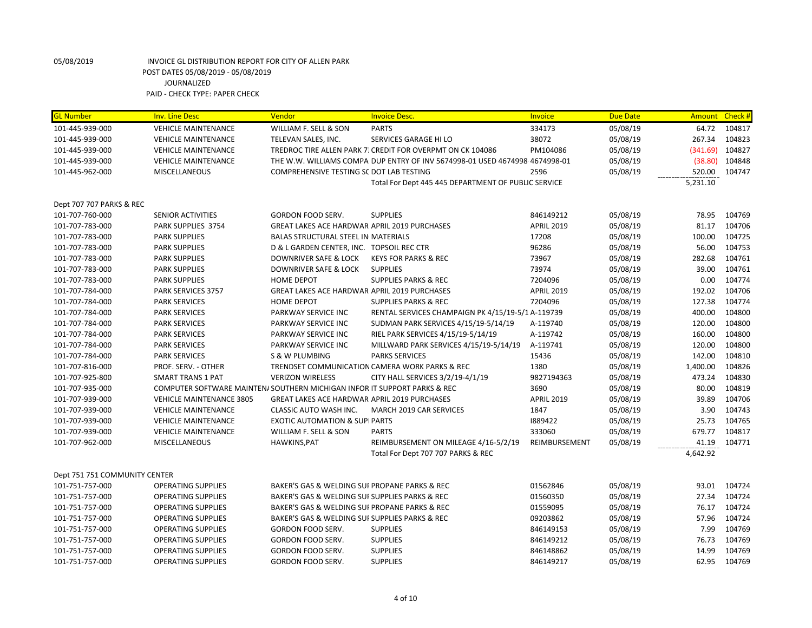| <b>GL Number</b>              | <b>Inv. Line Desc</b>                                                     | Vendor                                              | <b>Invoice Desc.</b>                                                        | Invoice           | <b>Due Date</b> |          | Amount Check # |
|-------------------------------|---------------------------------------------------------------------------|-----------------------------------------------------|-----------------------------------------------------------------------------|-------------------|-----------------|----------|----------------|
| 101-445-939-000               | <b>VEHICLE MAINTENANCE</b>                                                | WILLIAM F. SELL & SON                               | <b>PARTS</b>                                                                | 334173            | 05/08/19        |          | 64.72 104817   |
| 101-445-939-000               | <b>VEHICLE MAINTENANCE</b>                                                | TELEVAN SALES, INC.                                 | SERVICES GARAGE HI LO                                                       | 38072             | 05/08/19        | 267.34   | 104823         |
| 101-445-939-000               | <b>VEHICLE MAINTENANCE</b>                                                |                                                     | TREDROC TIRE ALLEN PARK 7. CREDIT FOR OVERPMT ON CK 104086                  | PM104086          | 05/08/19        | (341.69) | 104827         |
| 101-445-939-000               | <b>VEHICLE MAINTENANCE</b>                                                |                                                     | THE W.W. WILLIAMS COMPA DUP ENTRY OF INV 5674998-01 USED 4674998 4674998-01 |                   | 05/08/19        | (38.80)  | 104848         |
| 101-445-962-000               | <b>MISCELLANEOUS</b>                                                      | COMPREHENSIVE TESTING SC DOT LAB TESTING            |                                                                             | 2596              | 05/08/19        | 520.00   | 104747         |
|                               |                                                                           |                                                     | Total For Dept 445 445 DEPARTMENT OF PUBLIC SERVICE                         |                   |                 | 5,231.10 |                |
|                               |                                                                           |                                                     |                                                                             |                   |                 |          |                |
| Dept 707 707 PARKS & REC      |                                                                           |                                                     |                                                                             |                   |                 |          |                |
| 101-707-760-000               | <b>SENIOR ACTIVITIES</b>                                                  | GORDON FOOD SERV.                                   | <b>SUPPLIES</b>                                                             | 846149212         | 05/08/19        | 78.95    | 104769         |
| 101-707-783-000               | PARK SUPPLIES 3754                                                        | <b>GREAT LAKES ACE HARDWAR APRIL 2019 PURCHASES</b> |                                                                             | <b>APRIL 2019</b> | 05/08/19        | 81.17    | 104706         |
| 101-707-783-000               | <b>PARK SUPPLIES</b>                                                      | BALAS STRUCTURAL STEEL IN MATERIALS                 |                                                                             | 17208             | 05/08/19        | 100.00   | 104725         |
| 101-707-783-000               | <b>PARK SUPPLIES</b>                                                      | D & L GARDEN CENTER, INC. TOPSOIL REC CTR           |                                                                             | 96286             | 05/08/19        | 56.00    | 104753         |
| 101-707-783-000               | <b>PARK SUPPLIES</b>                                                      | DOWNRIVER SAFE & LOCK                               | <b>KEYS FOR PARKS &amp; REC</b>                                             | 73967             | 05/08/19        | 282.68   | 104761         |
| 101-707-783-000               | <b>PARK SUPPLIES</b>                                                      | <b>DOWNRIVER SAFE &amp; LOCK</b>                    | <b>SUPPLIES</b>                                                             | 73974             | 05/08/19        | 39.00    | 104761         |
| 101-707-783-000               | <b>PARK SUPPLIES</b>                                                      | <b>HOME DEPOT</b>                                   | <b>SUPPLIES PARKS &amp; REC</b>                                             | 7204096           | 05/08/19        | 0.00     | 104774         |
| 101-707-784-000               | PARK SERVICES 3757                                                        | GREAT LAKES ACE HARDWAR APRIL 2019 PURCHASES        |                                                                             | <b>APRIL 2019</b> | 05/08/19        | 192.02   | 104706         |
| 101-707-784-000               | <b>PARK SERVICES</b>                                                      | <b>HOME DEPOT</b>                                   | <b>SUPPLIES PARKS &amp; REC</b>                                             | 7204096           | 05/08/19        | 127.38   | 104774         |
| 101-707-784-000               | <b>PARK SERVICES</b>                                                      | PARKWAY SERVICE INC                                 | RENTAL SERVICES CHAMPAIGN PK 4/15/19-5/1 A-119739                           |                   | 05/08/19        | 400.00   | 104800         |
| 101-707-784-000               | <b>PARK SERVICES</b>                                                      | PARKWAY SERVICE INC                                 | SUDMAN PARK SERVICES 4/15/19-5/14/19                                        | A-119740          | 05/08/19        | 120.00   | 104800         |
| 101-707-784-000               | <b>PARK SERVICES</b>                                                      | PARKWAY SERVICE INC                                 | RIEL PARK SERVICES 4/15/19-5/14/19                                          | A-119742          | 05/08/19        | 160.00   | 104800         |
| 101-707-784-000               | <b>PARK SERVICES</b>                                                      | PARKWAY SERVICE INC                                 | MILLWARD PARK SERVICES 4/15/19-5/14/19                                      | A-119741          | 05/08/19        | 120.00   | 104800         |
| 101-707-784-000               | <b>PARK SERVICES</b>                                                      | S & W PLUMBING                                      | <b>PARKS SERVICES</b>                                                       | 15436             | 05/08/19        | 142.00   | 104810         |
| 101-707-816-000               | PROF. SERV. - OTHER                                                       |                                                     | TRENDSET COMMUNICATION CAMERA WORK PARKS & REC                              | 1380              | 05/08/19        | 1,400.00 | 104826         |
| 101-707-925-800               | <b>SMART TRANS 1 PAT</b>                                                  | <b>VERIZON WIRELESS</b>                             | CITY HALL SERVICES 3/2/19-4/1/19                                            | 9827194363        | 05/08/19        | 473.24   | 104830         |
| 101-707-935-000               | COMPUTER SOFTWARE MAINTEN/ SOUTHERN MICHIGAN INFOR IT SUPPORT PARKS & REC |                                                     |                                                                             | 3690              | 05/08/19        | 80.00    | 104819         |
| 101-707-939-000               | <b>VEHICLE MAINTENANCE 3805</b>                                           | <b>GREAT LAKES ACE HARDWAR APRIL 2019 PURCHASES</b> |                                                                             | <b>APRIL 2019</b> | 05/08/19        | 39.89    | 104706         |
| 101-707-939-000               | <b>VEHICLE MAINTENANCE</b>                                                | CLASSIC AUTO WASH INC.                              | MARCH 2019 CAR SERVICES                                                     | 1847              | 05/08/19        | 3.90     | 104743         |
| 101-707-939-000               | <b>VEHICLE MAINTENANCE</b>                                                | <b>EXOTIC AUTOMATION &amp; SUPI PARTS</b>           |                                                                             | 1889422           | 05/08/19        | 25.73    | 104765         |
| 101-707-939-000               | <b>VEHICLE MAINTENANCE</b>                                                | WILLIAM F. SELL & SON                               | <b>PARTS</b>                                                                | 333060            | 05/08/19        | 679.77   | 104817         |
| 101-707-962-000               | <b>MISCELLANEOUS</b>                                                      | HAWKINS, PAT                                        | REIMBURSEMENT ON MILEAGE 4/16-5/2/19                                        | REIMBURSEMENT     | 05/08/19        | 41.19    | 104771         |
|                               |                                                                           |                                                     | Total For Dept 707 707 PARKS & REC                                          |                   |                 | 4,642.92 |                |
|                               |                                                                           |                                                     |                                                                             |                   |                 |          |                |
| Dept 751 751 COMMUNITY CENTER |                                                                           |                                                     |                                                                             |                   |                 |          |                |
| 101-751-757-000               | <b>OPERATING SUPPLIES</b>                                                 | BAKER'S GAS & WELDING SUI PROPANE PARKS & REC       |                                                                             | 01562846          | 05/08/19        | 93.01    | 104724         |
| 101-751-757-000               | <b>OPERATING SUPPLIES</b>                                                 | BAKER'S GAS & WELDING SUI SUPPLIES PARKS & REC      |                                                                             | 01560350          | 05/08/19        | 27.34    | 104724         |
| 101-751-757-000               | <b>OPERATING SUPPLIES</b>                                                 | BAKER'S GAS & WELDING SUI PROPANE PARKS & REC       |                                                                             | 01559095          | 05/08/19        | 76.17    | 104724         |
| 101-751-757-000               | <b>OPERATING SUPPLIES</b>                                                 | BAKER'S GAS & WELDING SUI SUPPLIES PARKS & REC      |                                                                             | 09203862          | 05/08/19        | 57.96    | 104724         |
| 101-751-757-000               | <b>OPERATING SUPPLIES</b>                                                 | <b>GORDON FOOD SERV.</b>                            | <b>SUPPLIES</b>                                                             | 846149153         | 05/08/19        | 7.99     | 104769         |
| 101-751-757-000               | <b>OPERATING SUPPLIES</b>                                                 | GORDON FOOD SERV.                                   | <b>SUPPLIES</b>                                                             | 846149212         | 05/08/19        | 76.73    | 104769         |
| 101-751-757-000               | <b>OPERATING SUPPLIES</b>                                                 | GORDON FOOD SERV.                                   | <b>SUPPLIES</b>                                                             | 846148862         | 05/08/19        | 14.99    | 104769         |
| 101-751-757-000               | <b>OPERATING SUPPLIES</b>                                                 | <b>GORDON FOOD SERV.</b>                            | <b>SUPPLIES</b>                                                             | 846149217         | 05/08/19        | 62.95    | 104769         |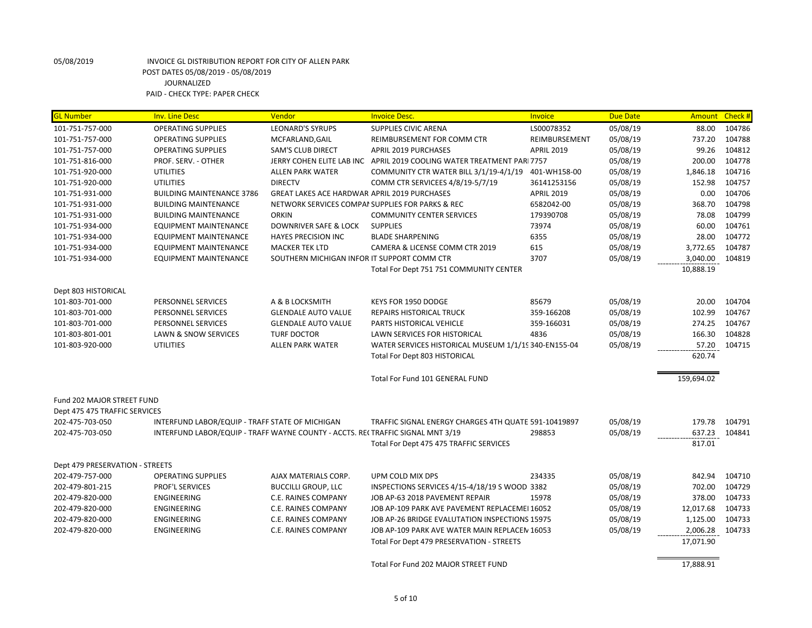| <b>GL Number</b>                | <b>Inv. Line Desc</b>                                                           | Vendor                                              | <b>Invoice Desc.</b>                                                   | <b>Invoice</b>    | <b>Due Date</b> |            | Amount Check # |
|---------------------------------|---------------------------------------------------------------------------------|-----------------------------------------------------|------------------------------------------------------------------------|-------------------|-----------------|------------|----------------|
| 101-751-757-000                 | <b>OPERATING SUPPLIES</b>                                                       | <b>LEONARD'S SYRUPS</b>                             | <b>SUPPLIES CIVIC ARENA</b>                                            | LS00078352        | 05/08/19        | 88.00      | 104786         |
| 101-751-757-000                 | <b>OPERATING SUPPLIES</b>                                                       | MCFARLAND, GAIL                                     | REIMBURSEMENT FOR COMM CTR                                             | REIMBURSEMENT     | 05/08/19        | 737.20     | 104788         |
| 101-751-757-000                 | <b>OPERATING SUPPLIES</b>                                                       | <b>SAM'S CLUB DIRECT</b>                            | <b>APRIL 2019 PURCHASES</b>                                            | <b>APRIL 2019</b> | 05/08/19        | 99.26      | 104812         |
| 101-751-816-000                 | PROF. SERV. - OTHER                                                             |                                                     | JERRY COHEN ELITE LAB INC APRIL 2019 COOLING WATER TREATMENT PARI 7757 |                   | 05/08/19        | 200.00     | 104778         |
| 101-751-920-000                 | <b>UTILITIES</b>                                                                | <b>ALLEN PARK WATER</b>                             | COMMUNITY CTR WATER BILL 3/1/19-4/1/19                                 | 401-WH158-00      | 05/08/19        | 1,846.18   | 104716         |
| 101-751-920-000                 | <b>UTILITIES</b>                                                                | <b>DIRECTV</b>                                      | COMM CTR SERVICEES 4/8/19-5/7/19                                       | 36141253156       | 05/08/19        | 152.98     | 104757         |
| 101-751-931-000                 | <b>BUILDING MAINTENANCE 3786</b>                                                | <b>GREAT LAKES ACE HARDWAR APRIL 2019 PURCHASES</b> |                                                                        | <b>APRIL 2019</b> | 05/08/19        | 0.00       | 104706         |
| 101-751-931-000                 | <b>BUILDING MAINTENANCE</b>                                                     |                                                     | NETWORK SERVICES COMPAI SUPPLIES FOR PARKS & REC                       | 6582042-00        | 05/08/19        | 368.70     | 104798         |
| 101-751-931-000                 | <b>BUILDING MAINTENANCE</b>                                                     | <b>ORKIN</b>                                        | <b>COMMUNITY CENTER SERVICES</b>                                       | 179390708         | 05/08/19        | 78.08      | 104799         |
| 101-751-934-000                 | EQUIPMENT MAINTENANCE                                                           | DOWNRIVER SAFE & LOCK                               | <b>SUPPLIES</b>                                                        | 73974             | 05/08/19        | 60.00      | 104761         |
| 101-751-934-000                 | <b>EQUIPMENT MAINTENANCE</b>                                                    | <b>HAYES PRECISION INC</b>                          | <b>BLADE SHARPENING</b>                                                | 6355              | 05/08/19        | 28.00      | 104772         |
| 101-751-934-000                 | <b>EQUIPMENT MAINTENANCE</b>                                                    | <b>MACKER TEK LTD</b>                               | CAMERA & LICENSE COMM CTR 2019                                         | 615               | 05/08/19        | 3,772.65   | 104787         |
| 101-751-934-000                 | <b>EQUIPMENT MAINTENANCE</b>                                                    | SOUTHERN MICHIGAN INFOR IT SUPPORT COMM CTR         |                                                                        | 3707              | 05/08/19        | 3,040.00   | 104819         |
|                                 |                                                                                 |                                                     | Total For Dept 751 751 COMMUNITY CENTER                                |                   |                 | 10,888.19  |                |
| Dept 803 HISTORICAL             |                                                                                 |                                                     |                                                                        |                   |                 |            |                |
| 101-803-701-000                 | PERSONNEL SERVICES                                                              | A & B LOCKSMITH                                     | KEYS FOR 1950 DODGE                                                    | 85679             | 05/08/19        | 20.00      | 104704         |
| 101-803-701-000                 | PERSONNEL SERVICES                                                              | <b>GLENDALE AUTO VALUE</b>                          | REPAIRS HISTORICAL TRUCK                                               | 359-166208        | 05/08/19        | 102.99     | 104767         |
| 101-803-701-000                 | PERSONNEL SERVICES                                                              | <b>GLENDALE AUTO VALUE</b>                          | PARTS HISTORICAL VEHICLE                                               | 359-166031        | 05/08/19        | 274.25     | 104767         |
| 101-803-801-001                 | LAWN & SNOW SERVICES                                                            | <b>TURF DOCTOR</b>                                  | LAWN SERVICES FOR HISTORICAL                                           | 4836              | 05/08/19        | 166.30     | 104828         |
| 101-803-920-000                 | <b>UTILITIES</b>                                                                | <b>ALLEN PARK WATER</b>                             | WATER SERVICES HISTORICAL MUSEUM 1/1/19 340-EN155-04                   |                   | 05/08/19        | 57.20      | 104715         |
|                                 |                                                                                 |                                                     | Total For Dept 803 HISTORICAL                                          |                   |                 | 620.74     |                |
|                                 |                                                                                 |                                                     | Total For Fund 101 GENERAL FUND                                        |                   |                 | 159,694.02 |                |
| Fund 202 MAJOR STREET FUND      |                                                                                 |                                                     |                                                                        |                   |                 |            |                |
| Dept 475 475 TRAFFIC SERVICES   |                                                                                 |                                                     |                                                                        |                   |                 |            |                |
| 202-475-703-050                 | INTERFUND LABOR/EQUIP - TRAFF STATE OF MICHIGAN                                 |                                                     | TRAFFIC SIGNAL ENERGY CHARGES 4TH QUATE 591-10419897                   |                   | 05/08/19        | 179.78     | 104791         |
| 202-475-703-050                 | INTERFUND LABOR/EQUIP - TRAFF WAYNE COUNTY - ACCTS. REI TRAFFIC SIGNAL MNT 3/19 |                                                     |                                                                        | 298853            | 05/08/19        | 637.23     | 104841         |
|                                 |                                                                                 |                                                     | Total For Dept 475 475 TRAFFIC SERVICES                                |                   |                 | 817.01     |                |
|                                 |                                                                                 |                                                     |                                                                        |                   |                 |            |                |
| Dept 479 PRESERVATION - STREETS |                                                                                 |                                                     |                                                                        |                   |                 |            |                |
| 202-479-757-000                 | <b>OPERATING SUPPLIES</b>                                                       | AJAX MATERIALS CORP.                                | UPM COLD MIX DPS                                                       | 234335            | 05/08/19        | 842.94     | 104710         |
| 202-479-801-215                 | <b>PROF'L SERVICES</b>                                                          | <b>BUCCILLI GROUP, LLC</b>                          | INSPECTIONS SERVICES 4/15-4/18/19 S WOOD 3382                          |                   | 05/08/19        | 702.00     | 104729         |
| 202-479-820-000                 | ENGINEERING                                                                     | C.E. RAINES COMPANY                                 | JOB AP-63 2018 PAVEMENT REPAIR                                         | 15978             | 05/08/19        | 378.00     | 104733         |
| 202-479-820-000                 | <b>ENGINEERING</b>                                                              | C.E. RAINES COMPANY                                 | JOB AP-109 PARK AVE PAVEMENT REPLACEMEI 16052                          |                   | 05/08/19        | 12,017.68  | 104733         |
| 202-479-820-000                 | ENGINEERING                                                                     | C.E. RAINES COMPANY                                 | JOB AP-26 BRIDGE EVALUTATION INSPECTIONS 15975                         |                   | 05/08/19        | 1,125.00   | 104733         |
| 202-479-820-000                 | ENGINEERING                                                                     | C.E. RAINES COMPANY                                 | JOB AP-109 PARK AVE WATER MAIN REPLACEN 16053                          |                   | 05/08/19        | 2,006.28   | 104733         |
|                                 |                                                                                 |                                                     | Total For Dept 479 PRESERVATION - STREETS                              |                   |                 | 17,071.90  |                |
|                                 |                                                                                 |                                                     | Total For Fund 202 MAJOR STREET FUND                                   |                   |                 | 17,888.91  |                |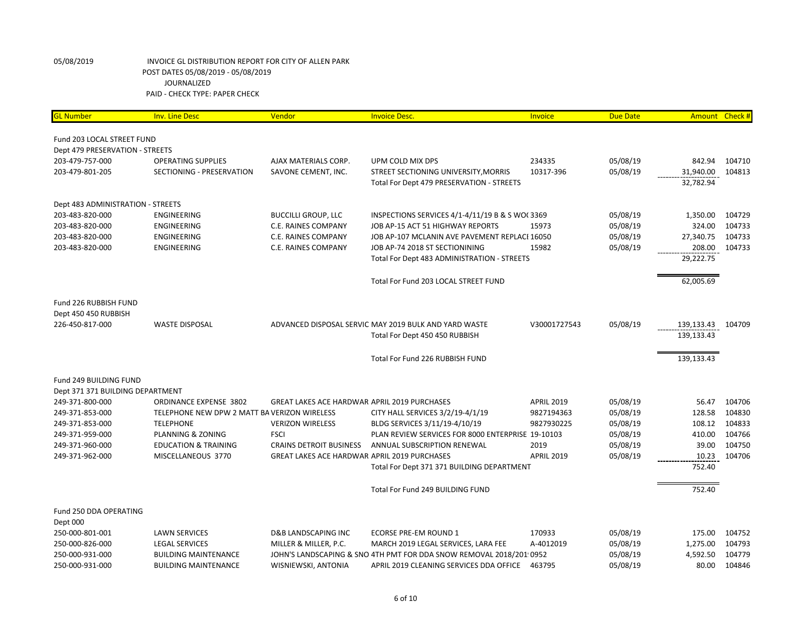| <b>GL Number</b>                  | <b>Inv. Line Desc</b>                        | Vendor                                              | <b>Invoice Desc.</b>                                                | Invoice           | <b>Due Date</b> |            | Amount Check # |
|-----------------------------------|----------------------------------------------|-----------------------------------------------------|---------------------------------------------------------------------|-------------------|-----------------|------------|----------------|
| Fund 203 LOCAL STREET FUND        |                                              |                                                     |                                                                     |                   |                 |            |                |
| Dept 479 PRESERVATION - STREETS   |                                              |                                                     |                                                                     |                   |                 |            |                |
| 203-479-757-000                   | <b>OPERATING SUPPLIES</b>                    | AJAX MATERIALS CORP.                                | UPM COLD MIX DPS                                                    | 234335            | 05/08/19        | 842.94     | 104710         |
| 203-479-801-205                   | SECTIONING - PRESERVATION                    | SAVONE CEMENT, INC.                                 | STREET SECTIONING UNIVERSITY, MORRIS                                | 10317-396         | 05/08/19        | 31,940.00  | 104813         |
|                                   |                                              |                                                     | Total For Dept 479 PRESERVATION - STREETS                           |                   |                 | 32,782.94  |                |
| Dept 483 ADMINISTRATION - STREETS |                                              |                                                     |                                                                     |                   |                 |            |                |
| 203-483-820-000                   | <b>ENGINEERING</b>                           | <b>BUCCILLI GROUP, LLC</b>                          | INSPECTIONS SERVICES 4/1-4/11/19 B & S WO(3369                      |                   | 05/08/19        | 1,350.00   | 104729         |
| 203-483-820-000                   | <b>ENGINEERING</b>                           | C.E. RAINES COMPANY                                 | JOB AP-15 ACT 51 HIGHWAY REPORTS                                    | 15973             | 05/08/19        | 324.00     | 104733         |
| 203-483-820-000                   | ENGINEERING                                  | C.E. RAINES COMPANY                                 | JOB AP-107 MCLANIN AVE PAVEMENT REPLACI 16050                       |                   | 05/08/19        | 27,340.75  | 104733         |
| 203-483-820-000                   | <b>ENGINEERING</b>                           | C.E. RAINES COMPANY                                 | JOB AP-74 2018 ST SECTIONINING                                      | 15982             | 05/08/19        | 208.00     | 104733         |
|                                   |                                              |                                                     | Total For Dept 483 ADMINISTRATION - STREETS                         |                   |                 | 29,222.75  |                |
|                                   |                                              |                                                     | Total For Fund 203 LOCAL STREET FUND                                |                   |                 | 62,005.69  |                |
| Fund 226 RUBBISH FUND             |                                              |                                                     |                                                                     |                   |                 |            |                |
| Dept 450 450 RUBBISH              |                                              |                                                     |                                                                     |                   |                 |            |                |
| 226-450-817-000                   | <b>WASTE DISPOSAL</b>                        |                                                     | ADVANCED DISPOSAL SERVIC MAY 2019 BULK AND YARD WASTE               | V30001727543      | 05/08/19        | 139,133.43 | 104709         |
|                                   |                                              |                                                     | Total For Dept 450 450 RUBBISH                                      |                   |                 | 139,133.43 |                |
|                                   |                                              |                                                     | Total For Fund 226 RUBBISH FUND                                     |                   |                 | 139,133.43 |                |
| Fund 249 BUILDING FUND            |                                              |                                                     |                                                                     |                   |                 |            |                |
| Dept 371 371 BUILDING DEPARTMENT  |                                              |                                                     |                                                                     |                   |                 |            |                |
| 249-371-800-000                   | <b>ORDINANCE EXPENSE 3802</b>                | <b>GREAT LAKES ACE HARDWAR APRIL 2019 PURCHASES</b> |                                                                     | <b>APRIL 2019</b> | 05/08/19        | 56.47      | 104706         |
| 249-371-853-000                   | TELEPHONE NEW DPW 2 MATT BA VERIZON WIRELESS |                                                     | CITY HALL SERVICES 3/2/19-4/1/19                                    | 9827194363        | 05/08/19        | 128.58     | 104830         |
| 249-371-853-000                   | <b>TELEPHONE</b>                             | <b>VERIZON WIRELESS</b>                             | BLDG SERVICES 3/11/19-4/10/19                                       | 9827930225        | 05/08/19        | 108.12     | 104833         |
| 249-371-959-000                   | PLANNING & ZONING                            | <b>FSCI</b>                                         | PLAN REVIEW SERVICES FOR 8000 ENTERPRISE 19-10103                   |                   | 05/08/19        | 410.00     | 104766         |
| 249-371-960-000                   | <b>EDUCATION &amp; TRAINING</b>              | <b>CRAINS DETROIT BUSINESS</b>                      | <b>ANNUAL SUBSCRIPTION RENEWAL</b>                                  | 2019              | 05/08/19        | 39.00      | 104750         |
| 249-371-962-000                   | MISCELLANEOUS 3770                           | GREAT LAKES ACE HARDWAR APRIL 2019 PURCHASES        |                                                                     | <b>APRIL 2019</b> | 05/08/19        | 10.23      | 104706         |
|                                   |                                              |                                                     | Total For Dept 371 371 BUILDING DEPARTMENT                          |                   |                 | 752.40     |                |
|                                   |                                              |                                                     | Total For Fund 249 BUILDING FUND                                    |                   |                 | 752.40     |                |
| Fund 250 DDA OPERATING            |                                              |                                                     |                                                                     |                   |                 |            |                |
| Dept 000                          |                                              |                                                     |                                                                     |                   |                 |            |                |
| 250-000-801-001                   | <b>LAWN SERVICES</b>                         | D&B LANDSCAPING INC                                 | <b>ECORSE PRE-EM ROUND 1</b>                                        | 170933            | 05/08/19        | 175.00     | 104752         |
| 250-000-826-000                   | <b>LEGAL SERVICES</b>                        | MILLER & MILLER, P.C.                               | MARCH 2019 LEGAL SERVICES, LARA FEE                                 | A-4012019         | 05/08/19        | 1,275.00   | 104793         |
| 250-000-931-000                   | <b>BUILDING MAINTENANCE</b>                  |                                                     | JOHN'S LANDSCAPING & SNO 4TH PMT FOR DDA SNOW REMOVAL 2018/201 0952 |                   | 05/08/19        | 4,592.50   | 104779         |
| 250-000-931-000                   | <b>BUILDING MAINTENANCE</b>                  | WISNIEWSKI, ANTONIA                                 | APRIL 2019 CLEANING SERVICES DDA OFFICE                             | 463795            | 05/08/19        | 80.00      | 104846         |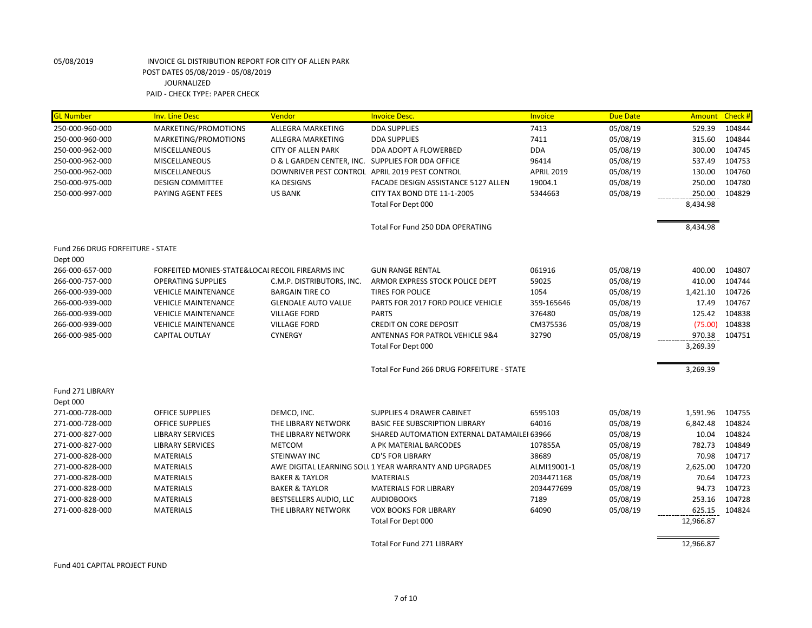| <b>GL Number</b>                 | <b>Inv. Line Desc</b>                            | Vendor                                            | <b>Invoice Desc.</b>                                   | Invoice           | <b>Due Date</b> | <b>Amount</b> | Check # |
|----------------------------------|--------------------------------------------------|---------------------------------------------------|--------------------------------------------------------|-------------------|-----------------|---------------|---------|
| 250-000-960-000                  | MARKETING/PROMOTIONS                             | ALLEGRA MARKETING                                 | <b>DDA SUPPLIES</b>                                    | 7413              | 05/08/19        | 529.39        | 104844  |
| 250-000-960-000                  | MARKETING/PROMOTIONS                             | ALLEGRA MARKETING                                 | <b>DDA SUPPLIES</b>                                    | 7411              | 05/08/19        | 315.60        | 104844  |
| 250-000-962-000                  | <b>MISCELLANEOUS</b>                             | <b>CITY OF ALLEN PARK</b>                         | DDA ADOPT A FLOWERBED                                  | <b>DDA</b>        | 05/08/19        | 300.00        | 104745  |
| 250-000-962-000                  | <b>MISCELLANEOUS</b>                             | D & L GARDEN CENTER, INC. SUPPLIES FOR DDA OFFICE |                                                        | 96414             | 05/08/19        | 537.49        | 104753  |
| 250-000-962-000                  | <b>MISCELLANEOUS</b>                             |                                                   | DOWNRIVER PEST CONTROL APRIL 2019 PEST CONTROL         | <b>APRIL 2019</b> | 05/08/19        | 130.00        | 104760  |
| 250-000-975-000                  | <b>DESIGN COMMITTEE</b>                          | <b>KA DESIGNS</b>                                 | FACADE DESIGN ASSISTANCE 5127 ALLEN                    | 19004.1           | 05/08/19        | 250.00        | 104780  |
| 250-000-997-000                  | PAYING AGENT FEES                                | <b>US BANK</b>                                    | CITY TAX BOND DTE 11-1-2005                            | 5344663           | 05/08/19        | 250.00        | 104829  |
|                                  |                                                  |                                                   | Total For Dept 000                                     |                   |                 | 8,434.98      |         |
|                                  |                                                  |                                                   | Total For Fund 250 DDA OPERATING                       |                   |                 | 8,434.98      |         |
| Fund 266 DRUG FORFEITURE - STATE |                                                  |                                                   |                                                        |                   |                 |               |         |
| Dept 000                         |                                                  |                                                   |                                                        |                   |                 |               |         |
| 266-000-657-000                  | FORFEITED MONIES-STATE&LOCAI RECOIL FIREARMS INC |                                                   | <b>GUN RANGE RENTAL</b>                                | 061916            | 05/08/19        | 400.00        | 104807  |
| 266-000-757-000                  | <b>OPERATING SUPPLIES</b>                        | C.M.P. DISTRIBUTORS, INC.                         | ARMOR EXPRESS STOCK POLICE DEPT                        | 59025             | 05/08/19        | 410.00        | 104744  |
| 266-000-939-000                  | <b>VEHICLE MAINTENANCE</b>                       | <b>BARGAIN TIRE CO</b>                            | <b>TIRES FOR POLICE</b>                                | 1054              | 05/08/19        | 1,421.10      | 104726  |
| 266-000-939-000                  | <b>VEHICLE MAINTENANCE</b>                       | <b>GLENDALE AUTO VALUE</b>                        | PARTS FOR 2017 FORD POLICE VEHICLE                     | 359-165646        | 05/08/19        | 17.49         | 104767  |
| 266-000-939-000                  | <b>VEHICLE MAINTENANCE</b>                       | <b>VILLAGE FORD</b>                               | <b>PARTS</b>                                           | 376480            | 05/08/19        | 125.42        | 104838  |
| 266-000-939-000                  | <b>VEHICLE MAINTENANCE</b>                       | <b>VILLAGE FORD</b>                               | <b>CREDIT ON CORE DEPOSIT</b>                          | CM375536          | 05/08/19        | (75.00)       | 104838  |
| 266-000-985-000                  | <b>CAPITAL OUTLAY</b>                            | <b>CYNERGY</b>                                    | ANTENNAS FOR PATROL VEHICLE 9&4                        | 32790             | 05/08/19        | 970.38        | 104751  |
|                                  |                                                  |                                                   | Total For Dept 000                                     |                   |                 | 3,269.39      |         |
|                                  |                                                  |                                                   | Total For Fund 266 DRUG FORFEITURE - STATE             |                   |                 | 3,269.39      |         |
| Fund 271 LIBRARY                 |                                                  |                                                   |                                                        |                   |                 |               |         |
| Dept 000                         |                                                  |                                                   |                                                        |                   |                 |               |         |
| 271-000-728-000                  | <b>OFFICE SUPPLIES</b>                           | DEMCO, INC.                                       | <b>SUPPLIES 4 DRAWER CABINET</b>                       | 6595103           | 05/08/19        | 1,591.96      | 104755  |
| 271-000-728-000                  | <b>OFFICE SUPPLIES</b>                           | THE LIBRARY NETWORK                               | <b>BASIC FEE SUBSCRIPTION LIBRARY</b>                  | 64016             | 05/08/19        | 6,842.48      | 104824  |
| 271-000-827-000                  | <b>LIBRARY SERVICES</b>                          | THE LIBRARY NETWORK                               | SHARED AUTOMATION EXTERNAL DATAMAILEI 63966            |                   | 05/08/19        | 10.04         | 104824  |
| 271-000-827-000                  | <b>LIBRARY SERVICES</b>                          | <b>METCOM</b>                                     | A PK MATERIAL BARCODES                                 | 107855A           | 05/08/19        | 782.73        | 104849  |
| 271-000-828-000                  | <b>MATERIALS</b>                                 | STEINWAY INC                                      | <b>CD'S FOR LIBRARY</b>                                | 38689             | 05/08/19        | 70.98         | 104717  |
| 271-000-828-000                  | <b>MATERIALS</b>                                 |                                                   | AWE DIGITAL LEARNING SOLL 1 YEAR WARRANTY AND UPGRADES | ALMI19001-1       | 05/08/19        | 2,625.00      | 104720  |
| 271-000-828-000                  | <b>MATERIALS</b>                                 | <b>BAKER &amp; TAYLOR</b>                         | <b>MATERIALS</b>                                       | 2034471168        | 05/08/19        | 70.64         | 104723  |
| 271-000-828-000                  | <b>MATERIALS</b>                                 | <b>BAKER &amp; TAYLOR</b>                         | <b>MATERIALS FOR LIBRARY</b>                           | 2034477699        | 05/08/19        | 94.73         | 104723  |
| 271-000-828-000                  | <b>MATERIALS</b>                                 | BESTSELLERS AUDIO, LLC                            | <b>AUDIOBOOKS</b>                                      | 7189              | 05/08/19        | 253.16        | 104728  |
| 271-000-828-000                  | <b>MATERIALS</b>                                 | THE LIBRARY NETWORK                               | <b>VOX BOOKS FOR LIBRARY</b>                           | 64090             | 05/08/19        | 625.15        | 104824  |
|                                  |                                                  |                                                   | Total For Dept 000                                     |                   |                 | 12,966.87     |         |
|                                  |                                                  |                                                   | <b>Total For Fund 271 LIBRARY</b>                      |                   |                 | 12,966.87     |         |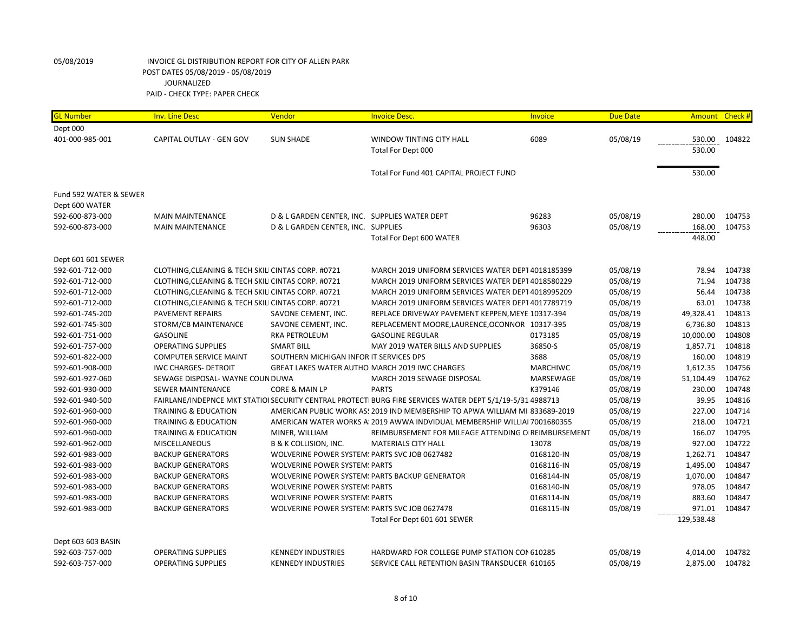| <b>GL Number</b>       | <b>Inv. Line Desc</b>                              | Vendor                                        | <b>Invoice Desc.</b>                                                                                      | Invoice         | <b>Due Date</b> |            | Amount Check # |
|------------------------|----------------------------------------------------|-----------------------------------------------|-----------------------------------------------------------------------------------------------------------|-----------------|-----------------|------------|----------------|
| Dept 000               |                                                    |                                               |                                                                                                           |                 |                 |            |                |
| 401-000-985-001        | CAPITAL OUTLAY - GEN GOV                           | <b>SUN SHADE</b>                              | <b>WINDOW TINTING CITY HALL</b>                                                                           | 6089            | 05/08/19        | 530.00     | 104822         |
|                        |                                                    |                                               | Total For Dept 000                                                                                        |                 |                 | 530.00     |                |
|                        |                                                    |                                               |                                                                                                           |                 |                 |            |                |
|                        |                                                    |                                               | Total For Fund 401 CAPITAL PROJECT FUND                                                                   |                 |                 | 530.00     |                |
|                        |                                                    |                                               |                                                                                                           |                 |                 |            |                |
| Fund 592 WATER & SEWER |                                                    |                                               |                                                                                                           |                 |                 |            |                |
| Dept 600 WATER         |                                                    |                                               |                                                                                                           |                 |                 |            |                |
| 592-600-873-000        | <b>MAIN MAINTENANCE</b>                            | D & L GARDEN CENTER, INC. SUPPLIES WATER DEPT |                                                                                                           | 96283           | 05/08/19        | 280.00     | 104753         |
| 592-600-873-000        | <b>MAIN MAINTENANCE</b>                            | D & L GARDEN CENTER, INC. SUPPLIES            |                                                                                                           | 96303           | 05/08/19        | 168.00     | 104753         |
|                        |                                                    |                                               | Total For Dept 600 WATER                                                                                  |                 |                 | 448.00     |                |
|                        |                                                    |                                               |                                                                                                           |                 |                 |            |                |
| Dept 601 601 SEWER     |                                                    |                                               |                                                                                                           |                 |                 |            |                |
| 592-601-712-000        | CLOTHING, CLEANING & TECH SKILI CINTAS CORP. #0721 |                                               | MARCH 2019 UNIFORM SERVICES WATER DEPT 4018185399                                                         |                 | 05/08/19        | 78.94      | 104738         |
| 592-601-712-000        | CLOTHING, CLEANING & TECH SKILI CINTAS CORP. #0721 |                                               | MARCH 2019 UNIFORM SERVICES WATER DEPT 4018580229                                                         |                 | 05/08/19        | 71.94      | 104738         |
| 592-601-712-000        | CLOTHING, CLEANING & TECH SKILI CINTAS CORP. #0721 |                                               | MARCH 2019 UNIFORM SERVICES WATER DEPT 4018995209                                                         |                 | 05/08/19        | 56.44      | 104738         |
| 592-601-712-000        | CLOTHING, CLEANING & TECH SKILI CINTAS CORP. #0721 |                                               | MARCH 2019 UNIFORM SERVICES WATER DEPT 4017789719                                                         |                 | 05/08/19        | 63.01      | 104738         |
| 592-601-745-200        | <b>PAVEMENT REPAIRS</b>                            | SAVONE CEMENT, INC.                           | REPLACE DRIVEWAY PAVEMENT KEPPEN, MEYE 10317-394                                                          |                 | 05/08/19        | 49,328.41  | 104813         |
| 592-601-745-300        | STORM/CB MAINTENANCE                               | SAVONE CEMENT, INC.                           | REPLACEMENT MOORE,LAURENCE,OCONNOR 10317-395                                                              |                 | 05/08/19        | 6,736.80   | 104813         |
| 592-601-751-000        | <b>GASOLINE</b>                                    | RKA PETROLEUM                                 | <b>GASOLINE REGULAR</b>                                                                                   | 0173185         | 05/08/19        | 10,000.00  | 104808         |
| 592-601-757-000        | <b>OPERATING SUPPLIES</b>                          | <b>SMART BILL</b>                             | MAY 2019 WATER BILLS AND SUPPLIES                                                                         | 36850-S         | 05/08/19        | 1,857.71   | 104818         |
| 592-601-822-000        | <b>COMPUTER SERVICE MAINT</b>                      | SOUTHERN MICHIGAN INFOR IT SERVICES DPS       |                                                                                                           | 3688            | 05/08/19        | 160.00     | 104819         |
| 592-601-908-000        | <b>IWC CHARGES- DETROIT</b>                        |                                               | GREAT LAKES WATER AUTHO MARCH 2019 IWC CHARGES                                                            | <b>MARCHIWC</b> | 05/08/19        | 1,612.35   | 104756         |
| 592-601-927-060        | SEWAGE DISPOSAL- WAYNE COUN DUWA                   |                                               | MARCH 2019 SEWAGE DISPOSAL                                                                                | MARSEWAGE       | 05/08/19        | 51,104.49  | 104762         |
| 592-601-930-000        | SEWER MAINTENANCE                                  | CORE & MAIN LP                                | <b>PARTS</b>                                                                                              | K379146         | 05/08/19        | 230.00     | 104748         |
| 592-601-940-500        |                                                    |                                               | FAIRLANE/INDEPNCE MKT STATIOI SECURITY CENTRAL PROTECTI BURG FIRE SERVICES WATER DEPT 5/1/19-5/31 4988713 |                 | 05/08/19        | 39.95      | 104816         |
| 592-601-960-000        | <b>TRAINING &amp; EDUCATION</b>                    |                                               | AMERICAN PUBLIC WORK AS! 2019 IND MEMBERSHIP TO APWA WILLIAM MI 833689-2019                               |                 | 05/08/19        | 227.00     | 104714         |
| 592-601-960-000        | <b>TRAINING &amp; EDUCATION</b>                    |                                               | AMERICAN WATER WORKS A: 2019 AWWA INDVIDUAL MEMBERSHIP WILLIAI 7001680355                                 |                 | 05/08/19        | 218.00     | 104721         |
| 592-601-960-000        | <b>TRAINING &amp; EDUCATION</b>                    | MINER, WILLIAM                                | REIMBURSEMENT FOR MILEAGE ATTENDING CI REIMBURSEMENT                                                      |                 | 05/08/19        | 166.07     | 104795         |
| 592-601-962-000        | <b>MISCELLANEOUS</b>                               | <b>B &amp; K COLLISION, INC.</b>              | <b>MATERIALS CITY HALL</b>                                                                                | 13078           | 05/08/19        | 927.00     | 104722         |
| 592-601-983-000        | <b>BACKUP GENERATORS</b>                           | WOLVERINE POWER SYSTEM: PARTS SVC JOB 0627482 |                                                                                                           | 0168120-IN      | 05/08/19        | 1,262.71   | 104847         |
| 592-601-983-000        | <b>BACKUP GENERATORS</b>                           | <b>WOLVERINE POWER SYSTEM: PARTS</b>          |                                                                                                           | 0168116-IN      | 05/08/19        | 1,495.00   | 104847         |
| 592-601-983-000        | <b>BACKUP GENERATORS</b>                           |                                               | WOLVERINE POWER SYSTEM: PARTS BACKUP GENERATOR                                                            | 0168144-IN      | 05/08/19        | 1,070.00   | 104847         |
| 592-601-983-000        | <b>BACKUP GENERATORS</b>                           | <b>WOLVERINE POWER SYSTEM: PARTS</b>          |                                                                                                           | 0168140-IN      | 05/08/19        | 978.05     | 104847         |
| 592-601-983-000        | <b>BACKUP GENERATORS</b>                           | <b>WOLVERINE POWER SYSTEM: PARTS</b>          |                                                                                                           | 0168114-IN      | 05/08/19        | 883.60     | 104847         |
| 592-601-983-000        | <b>BACKUP GENERATORS</b>                           | WOLVERINE POWER SYSTEM! PARTS SVC JOB 0627478 |                                                                                                           | 0168115-IN      | 05/08/19        | 971.01     | 104847         |
|                        |                                                    |                                               | Total For Dept 601 601 SEWER                                                                              |                 |                 | 129,538.48 |                |
|                        |                                                    |                                               |                                                                                                           |                 |                 |            |                |
| Dept 603 603 BASIN     |                                                    |                                               |                                                                                                           |                 |                 |            |                |
| 592-603-757-000        | <b>OPERATING SUPPLIES</b>                          | <b>KENNEDY INDUSTRIES</b>                     | HARDWARD FOR COLLEGE PUMP STATION CON 610285                                                              |                 | 05/08/19        | 4,014.00   | 104782         |
| 592-603-757-000        | <b>OPERATING SUPPLIES</b>                          | <b>KENNEDY INDUSTRIES</b>                     | SERVICE CALL RETENTION BASIN TRANSDUCER 610165                                                            |                 | 05/08/19        | 2,875.00   | 104782         |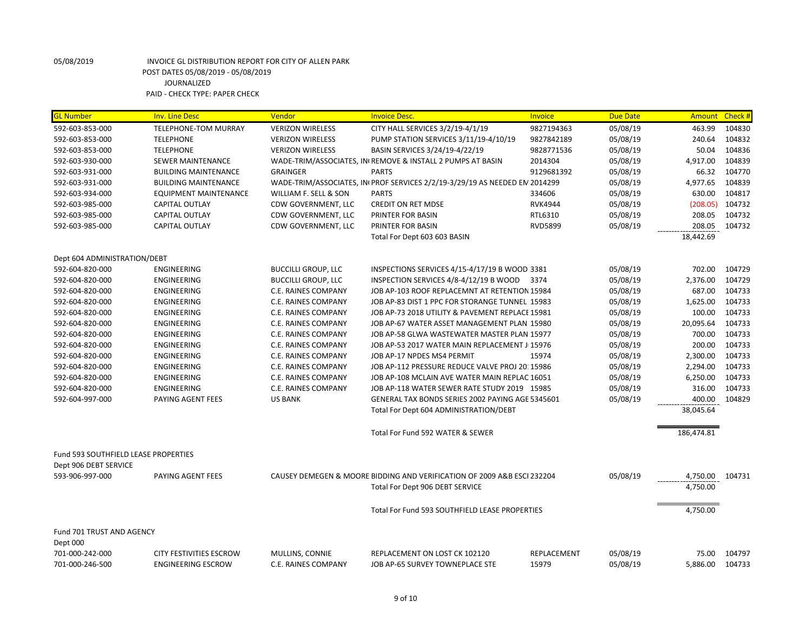| <b>GL Number</b>                     | <b>Inv. Line Desc</b>                                       | Vendor                                 | <b>Invoice Desc.</b>                                                       | Invoice              | <b>Due Date</b>      |                   | Amount Check #   |
|--------------------------------------|-------------------------------------------------------------|----------------------------------------|----------------------------------------------------------------------------|----------------------|----------------------|-------------------|------------------|
| 592-603-853-000                      | TELEPHONE-TOM MURRAY                                        | <b>VERIZON WIRELESS</b>                | CITY HALL SERVICES 3/2/19-4/1/19                                           | 9827194363           | 05/08/19             | 463.99            | 104830           |
| 592-603-853-000                      | <b>TELEPHONE</b>                                            | <b>VERIZON WIRELESS</b>                | PUMP STATION SERVICES 3/11/19-4/10/19                                      | 9827842189           | 05/08/19             | 240.64            | 104832           |
| 592-603-853-000                      | <b>TELEPHONE</b>                                            | <b>VERIZON WIRELESS</b>                | BASIN SERVICES 3/24/19-4/22/19                                             | 9828771536           | 05/08/19             | 50.04             | 104836           |
| 592-603-930-000                      | <b>SEWER MAINTENANCE</b>                                    |                                        | WADE-TRIM/ASSOCIATES, IN REMOVE & INSTALL 2 PUMPS AT BASIN                 | 2014304              | 05/08/19             | 4,917.00          | 104839           |
| 592-603-931-000                      | <b>BUILDING MAINTENANCE</b>                                 | <b>GRAINGER</b>                        | <b>PARTS</b>                                                               | 9129681392           | 05/08/19             | 66.32             | 104770           |
| 592-603-931-000                      | <b>BUILDING MAINTENANCE</b>                                 |                                        | WADE-TRIM/ASSOCIATES, IN PROF SERVICES 2/2/19-3/29/19 AS NEEDED EN 2014299 |                      | 05/08/19             | 4,977.65          | 104839           |
| 592-603-934-000                      | <b>EQUIPMENT MAINTENANCE</b>                                | WILLIAM F. SELL & SON                  | <b>PARTS</b>                                                               | 334606               | 05/08/19             | 630.00            | 104817           |
| 592-603-985-000                      | CAPITAL OUTLAY                                              | CDW GOVERNMENT, LLC                    | <b>CREDIT ON RET MDSE</b>                                                  | <b>RVK4944</b>       | 05/08/19             | (208.05)          | 104732           |
| 592-603-985-000                      | CAPITAL OUTLAY                                              | CDW GOVERNMENT, LLC                    | PRINTER FOR BASIN                                                          | RTL6310              | 05/08/19             | 208.05            | 104732           |
| 592-603-985-000                      | <b>CAPITAL OUTLAY</b>                                       | CDW GOVERNMENT, LLC                    | PRINTER FOR BASIN                                                          | <b>RVD5899</b>       | 05/08/19             | 208.05            | 104732           |
|                                      |                                                             |                                        | Total For Dept 603 603 BASIN                                               |                      |                      | 18,442.69         |                  |
| Dept 604 ADMINISTRATION/DEBT         |                                                             |                                        |                                                                            |                      |                      |                   |                  |
| 592-604-820-000                      | <b>ENGINEERING</b>                                          | <b>BUCCILLI GROUP, LLC</b>             | INSPECTIONS SERVICES 4/15-4/17/19 B WOOD 3381                              |                      | 05/08/19             | 702.00            | 104729           |
| 592-604-820-000                      | <b>ENGINEERING</b>                                          | <b>BUCCILLI GROUP, LLC</b>             | INSPECTION SERVICES 4/8-4/12/19 B WOOD                                     | 3374                 | 05/08/19             | 2,376.00          | 104729           |
| 592-604-820-000                      | <b>ENGINEERING</b>                                          | C.E. RAINES COMPANY                    | JOB AP-103 ROOF REPLACEMNT AT RETENTION 15984                              |                      | 05/08/19             | 687.00            | 104733           |
| 592-604-820-000                      | <b>ENGINEERING</b>                                          | C.E. RAINES COMPANY                    | JOB AP-83 DIST 1 PPC FOR STORANGE TUNNEL 15983                             |                      | 05/08/19             | 1,625.00          | 104733           |
| 592-604-820-000                      | <b>ENGINEERING</b>                                          | C.E. RAINES COMPANY                    | JOB AP-73 2018 UTILITY & PAVEMENT REPLACE 15981                            |                      | 05/08/19             | 100.00            | 104733           |
| 592-604-820-000                      | ENGINEERING                                                 | C.E. RAINES COMPANY                    | JOB AP-67 WATER ASSET MANAGEMENT PLAN 15980                                |                      | 05/08/19             | 20,095.64         | 104733           |
| 592-604-820-000                      | <b>ENGINEERING</b>                                          | <b>C.E. RAINES COMPANY</b>             | JOB AP-58 GLWA WASTEWATER MASTER PLAN 15977                                |                      | 05/08/19             | 700.00            | 104733           |
| 592-604-820-000                      | <b>ENGINEERING</b>                                          | C.E. RAINES COMPANY                    | JOB AP-53 2017 WATER MAIN REPLACEMENT J 15976                              |                      | 05/08/19             | 200.00            | 104733           |
| 592-604-820-000                      | <b>ENGINEERING</b>                                          | C.E. RAINES COMPANY                    | JOB AP-17 NPDES MS4 PERMIT                                                 | 15974                | 05/08/19             | 2,300.00          | 104733           |
| 592-604-820-000                      | <b>ENGINEERING</b>                                          | C.E. RAINES COMPANY                    | JOB AP-112 PRESSURE REDUCE VALVE PROJ 20: 15986                            |                      | 05/08/19             | 2,294.00          | 104733           |
| 592-604-820-000                      | <b>ENGINEERING</b>                                          | C.E. RAINES COMPANY                    | JOB AP-108 MCLAIN AVE WATER MAIN REPLAC 16051                              |                      | 05/08/19             | 6,250.00          | 104733           |
| 592-604-820-000                      | ENGINEERING                                                 | C.E. RAINES COMPANY                    | JOB AP-118 WATER SEWER RATE STUDY 2019 15985                               |                      | 05/08/19             | 316.00            | 104733           |
| 592-604-997-000                      | PAYING AGENT FEES                                           | <b>US BANK</b>                         | GENERAL TAX BONDS SERIES 2002 PAYING AGE 5345601                           |                      | 05/08/19             | 400.00            | 104829           |
|                                      |                                                             |                                        | Total For Dept 604 ADMINISTRATION/DEBT                                     |                      |                      | 38,045.64         |                  |
|                                      |                                                             |                                        | Total For Fund 592 WATER & SEWER                                           |                      |                      | 186,474.81        |                  |
| Fund 593 SOUTHFIELD LEASE PROPERTIES |                                                             |                                        |                                                                            |                      |                      |                   |                  |
| Dept 906 DEBT SERVICE                |                                                             |                                        |                                                                            |                      |                      |                   |                  |
| 593-906-997-000                      | PAYING AGENT FEES                                           |                                        | CAUSEY DEMEGEN & MOORE BIDDING AND VERIFICATION OF 2009 A&B ESCI 232204    |                      | 05/08/19             | 4,750.00          | 104731           |
|                                      |                                                             |                                        | Total For Dept 906 DEBT SERVICE                                            |                      |                      | 4,750.00          |                  |
|                                      |                                                             |                                        | Total For Fund 593 SOUTHFIELD LEASE PROPERTIES                             |                      |                      | 4,750.00          |                  |
| Fund 701 TRUST AND AGENCY            |                                                             |                                        |                                                                            |                      |                      |                   |                  |
| Dept 000                             |                                                             |                                        |                                                                            |                      |                      |                   |                  |
| 701-000-242-000<br>701-000-246-500   | <b>CITY FESTIVITIES ESCROW</b><br><b>ENGINEERING ESCROW</b> | MULLINS, CONNIE<br>C.E. RAINES COMPANY | REPLACEMENT ON LOST CK 102120<br>JOB AP-65 SURVEY TOWNEPLACE STE           | REPLACEMENT<br>15979 | 05/08/19<br>05/08/19 | 75.00<br>5,886.00 | 104797<br>104733 |